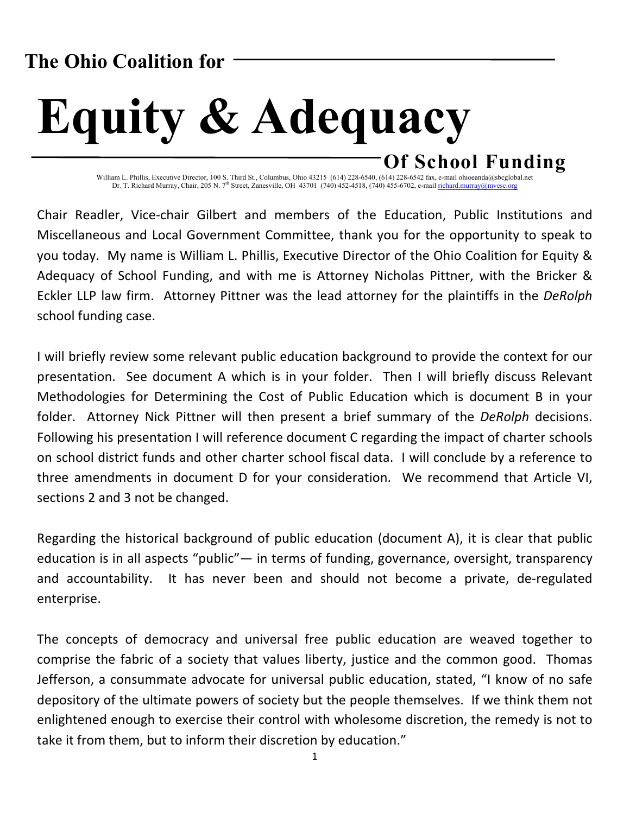# **The Ohio Coalition for**

# **Equity & Adequacy Of School Funding**

William L. Phillis, Executive Director, 100 S. Third St., Columbus, Ohio 43215 (614) 228-6540, (614) 228-6542 fax, e-mail ohioeanda@sbcglobal.net Dr. T. Richard Murray, Chair, 205 N. 7<sup>th</sup> Street, Zanesville, OH 43701 (740) 452-4518, (740) 455-6702, e-mail richard.murray@mvesc.org

Chair Readler, Vice-chair Gilbert and members of the Education, Public Institutions and Miscellaneous and Local Government Committee, thank you for the opportunity to speak to you today. My name is William L. Phillis, Executive Director of the Ohio Coalition for Equity & Adequacy of School Funding, and with me is Attorney Nicholas Pittner, with the Bricker & Eckler LLP law firm. Attorney Pittner was the lead attorney for the plaintiffs in the *DeRolph* school funding case.

I will briefly review some relevant public education background to provide the context for our presentation. See document A which is in your folder. Then I will briefly discuss Relevant Methodologies for Determining the Cost of Public Education which is document B in your folder. Attorney Nick Pittner will then present a brief summary of the *DeRolph* decisions. Following his presentation I will reference document C regarding the impact of charter schools on school district funds and other charter school fiscal data. I will conclude by a reference to three amendments in document D for your consideration. We recommend that Article VI, sections 2 and 3 not be changed.

Regarding the historical background of public education (document A), it is clear that public education is in all aspects "public"— in terms of funding, governance, oversight, transparency and accountability. It has never been and should not become a private, de-regulated enterprise.

The concepts of democracy and universal free public education are weaved together to comprise the fabric of a society that values liberty, justice and the common good. Thomas Jefferson, a consummate advocate for universal public education, stated, "I know of no safe depository of the ultimate powers of society but the people themselves. If we think them not enlightened enough to exercise their control with wholesome discretion, the remedy is not to take it from them, but to inform their discretion by education."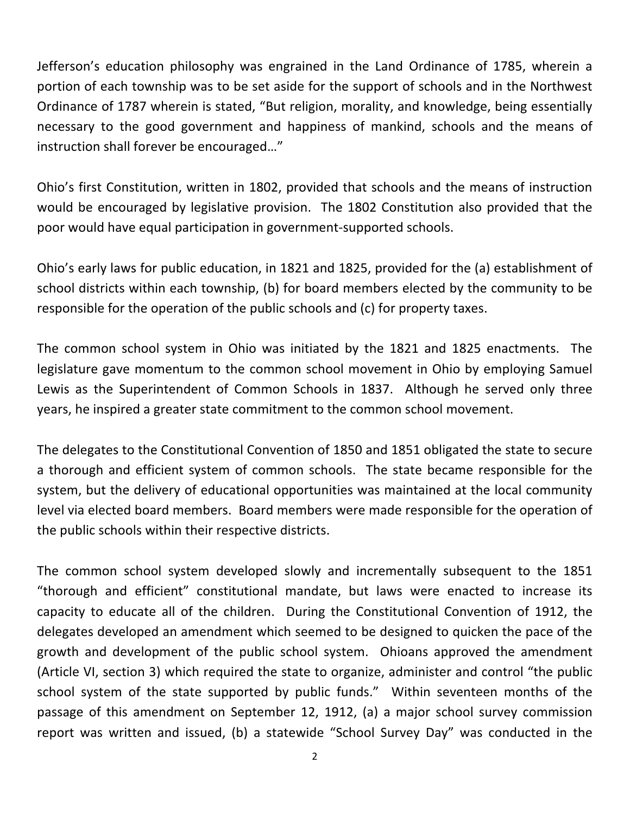Jefferson's education philosophy was engrained in the Land Ordinance of 1785, wherein a portion of each township was to be set aside for the support of schools and in the Northwest Ordinance of 1787 wherein is stated, "But religion, morality, and knowledge, being essentially necessary to the good government and happiness of mankind, schools and the means of instruction shall forever be encouraged..."

Ohio's first Constitution, written in 1802, provided that schools and the means of instruction would be encouraged by legislative provision. The 1802 Constitution also provided that the poor would have equal participation in government-supported schools.

Ohio's early laws for public education, in 1821 and 1825, provided for the (a) establishment of school districts within each township, (b) for board members elected by the community to be responsible for the operation of the public schools and (c) for property taxes.

The common school system in Ohio was initiated by the 1821 and 1825 enactments. The legislature gave momentum to the common school movement in Ohio by employing Samuel Lewis as the Superintendent of Common Schools in 1837. Although he served only three years, he inspired a greater state commitment to the common school movement.

The delegates to the Constitutional Convention of 1850 and 1851 obligated the state to secure a thorough and efficient system of common schools. The state became responsible for the system, but the delivery of educational opportunities was maintained at the local community level via elected board members. Board members were made responsible for the operation of the public schools within their respective districts.

The common school system developed slowly and incrementally subsequent to the 1851 "thorough and efficient" constitutional mandate, but laws were enacted to increase its capacity to educate all of the children. During the Constitutional Convention of 1912, the delegates developed an amendment which seemed to be designed to quicken the pace of the growth and development of the public school system. Ohioans approved the amendment (Article VI, section 3) which required the state to organize, administer and control "the public school system of the state supported by public funds." Within seventeen months of the passage of this amendment on September 12, 1912, (a) a major school survey commission report was written and issued, (b) a statewide "School Survey Day" was conducted in the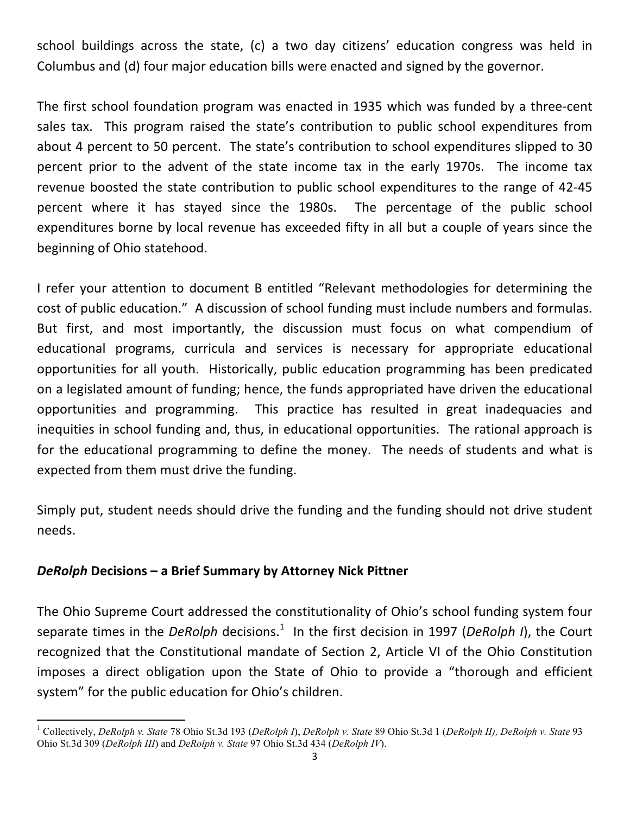school buildings across the state, (c) a two day citizens' education congress was held in Columbus and (d) four major education bills were enacted and signed by the governor.

The first school foundation program was enacted in 1935 which was funded by a three-cent sales tax. This program raised the state's contribution to public school expenditures from about 4 percent to 50 percent. The state's contribution to school expenditures slipped to 30 percent prior to the advent of the state income tax in the early 1970s. The income tax revenue boosted the state contribution to public school expenditures to the range of 42-45 percent where it has stayed since the 1980s. The percentage of the public school expenditures borne by local revenue has exceeded fifty in all but a couple of years since the beginning of Ohio statehood.

I refer your attention to document B entitled "Relevant methodologies for determining the cost of public education." A discussion of school funding must include numbers and formulas. But first, and most importantly, the discussion must focus on what compendium of educational programs, curricula and services is necessary for appropriate educational opportunities for all youth. Historically, public education programming has been predicated on a legislated amount of funding; hence, the funds appropriated have driven the educational opportunities and programming. This practice has resulted in great inadequacies and inequities in school funding and, thus, in educational opportunities. The rational approach is for the educational programming to define the money. The needs of students and what is expected from them must drive the funding.

Simply put, student needs should drive the funding and the funding should not drive student needs.

## *DeRolph* **Decisions – a Brief Summary by Attorney Nick Pittner**

 

The Ohio Supreme Court addressed the constitutionality of Ohio's school funding system four separate times in the *DeRolph* decisions.<sup>1</sup> In the first decision in 1997 (*DeRolph I*), the Court recognized that the Constitutional mandate of Section 2, Article VI of the Ohio Constitution imposes a direct obligation upon the State of Ohio to provide a "thorough and efficient system" for the public education for Ohio's children.

<sup>1</sup> Collectively, *DeRolph v. State* 78 Ohio St.3d 193 (*DeRolph I*), *DeRolph v. State* 89 Ohio St.3d 1 (*DeRolph II), DeRolph v. State* 93 Ohio St.3d 309 (*DeRolph III*) and *DeRolph v. State* 97 Ohio St.3d 434 (*DeRolph IV*).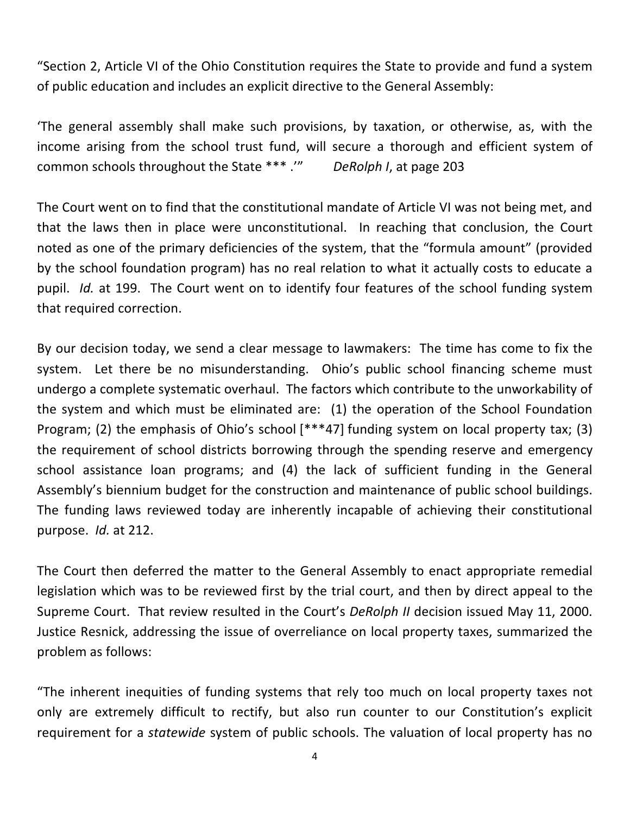"Section 2, Article VI of the Ohio Constitution requires the State to provide and fund a system of public education and includes an explicit directive to the General Assembly:

'The general assembly shall make such provisions, by taxation, or otherwise, as, with the income arising from the school trust fund, will secure a thorough and efficient system of common schools throughout the State \*\*\* .'" DeRolph *I*, at page 203

The Court went on to find that the constitutional mandate of Article VI was not being met, and that the laws then in place were unconstitutional. In reaching that conclusion, the Court noted as one of the primary deficiencies of the system, that the "formula amount" (provided by the school foundation program) has no real relation to what it actually costs to educate a pupil. *Id.* at 199. The Court went on to identify four features of the school funding system that required correction.

By our decision today, we send a clear message to lawmakers: The time has come to fix the system. Let there be no misunderstanding. Ohio's public school financing scheme must undergo a complete systematic overhaul. The factors which contribute to the unworkability of the system and which must be eliminated are:  $(1)$  the operation of the School Foundation Program; (2) the emphasis of Ohio's school  $[***47]$  funding system on local property tax; (3) the requirement of school districts borrowing through the spending reserve and emergency school assistance loan programs; and (4) the lack of sufficient funding in the General Assembly's biennium budget for the construction and maintenance of public school buildings. The funding laws reviewed today are inherently incapable of achieving their constitutional purpose. *Id.* at 212.

The Court then deferred the matter to the General Assembly to enact appropriate remedial legislation which was to be reviewed first by the trial court, and then by direct appeal to the Supreme Court. That review resulted in the Court's *DeRolph II* decision issued May 11, 2000. Justice Resnick, addressing the issue of overreliance on local property taxes, summarized the problem as follows:

"The inherent inequities of funding systems that rely too much on local property taxes not only are extremely difficult to rectify, but also run counter to our Constitution's explicit requirement for a *statewide* system of public schools. The valuation of local property has no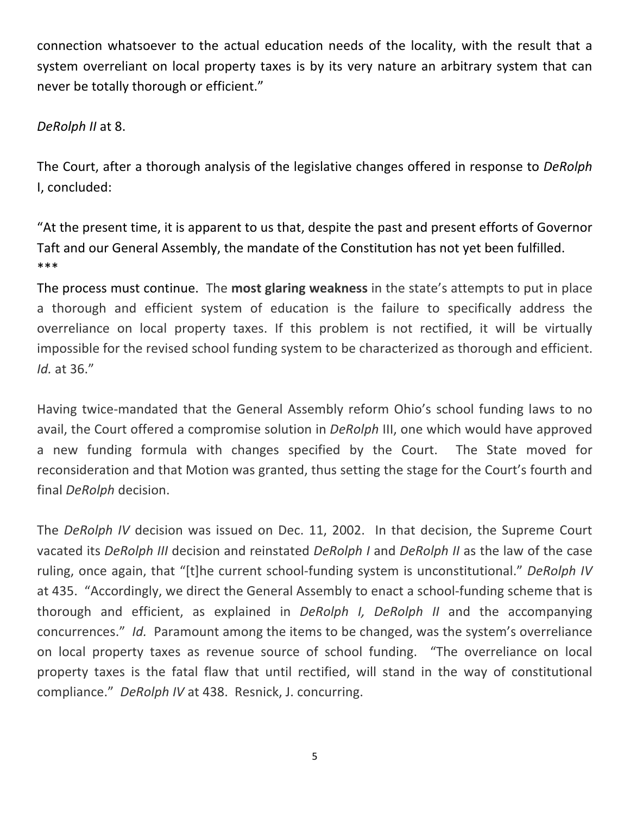connection whatsoever to the actual education needs of the locality, with the result that a system overreliant on local property taxes is by its very nature an arbitrary system that can never be totally thorough or efficient."

### DeRolph II at 8.

The Court, after a thorough analysis of the legislative changes offered in response to *DeRolph* I, concluded:

"At the present time, it is apparent to us that, despite the past and present efforts of Governor Taft and our General Assembly, the mandate of the Constitution has not yet been fulfilled. \*\*\*

The process must continue. The **most glaring weakness** in the state's attempts to put in place a thorough and efficient system of education is the failure to specifically address the overreliance on local property taxes. If this problem is not rectified, it will be virtually impossible for the revised school funding system to be characterized as thorough and efficient. *Id.* at 36."

Having twice-mandated that the General Assembly reform Ohio's school funding laws to no avail, the Court offered a compromise solution in *DeRolph* III, one which would have approved a new funding formula with changes specified by the Court. The State moved for reconsideration and that Motion was granted, thus setting the stage for the Court's fourth and final *DeRolph* decision.

The *DeRolph IV* decision was issued on Dec. 11, 2002. In that decision, the Supreme Court vacated its *DeRolph III* decision and reinstated *DeRolph I* and *DeRolph II* as the law of the case ruling, once again, that "[t]he current school-funding system is unconstitutional." DeRolph IV at 435. "Accordingly, we direct the General Assembly to enact a school-funding scheme that is thorough and efficient, as explained in *DeRolph I, DeRolph II* and the accompanying concurrences." *Id.* Paramount among the items to be changed, was the system's overreliance on local property taxes as revenue source of school funding. "The overreliance on local property taxes is the fatal flaw that until rectified, will stand in the way of constitutional compliance." DeRolph IV at 438. Resnick, J. concurring.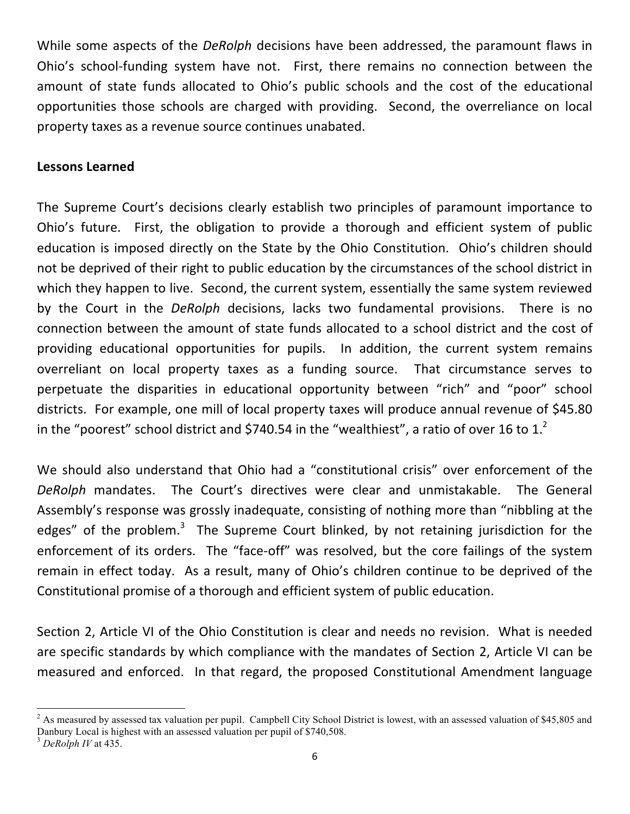While some aspects of the *DeRolph* decisions have been addressed, the paramount flaws in Ohio's school-funding system have not. First, there remains no connection between the amount of state funds allocated to Ohio's public schools and the cost of the educational opportunities those schools are charged with providing. Second, the overreliance on local property taxes as a revenue source continues unabated.

#### Lessons Learned

The Supreme Court's decisions clearly establish two principles of paramount importance to Ohio's future. First, the obligation to provide a thorough and efficient system of public education is imposed directly on the State by the Ohio Constitution. Ohio's children should not be deprived of their right to public education by the circumstances of the school district in which they happen to live. Second, the current system, essentially the same system reviewed by the Court in the *DeRolph* decisions, lacks two fundamental provisions. There is no connection between the amount of state funds allocated to a school district and the cost of providing educational opportunities for pupils. In addition, the current system remains overreliant on local property taxes as a funding source. That circumstance serves to perpetuate the disparities in educational opportunity between "rich" and "poor" school districts. For example, one mill of local property taxes will produce annual revenue of \$45.80 in the "poorest" school district and \$740.54 in the "wealthiest", a ratio of over 16 to 1.<sup>2</sup>

We should also understand that Ohio had a "constitutional crisis" over enforcement of the DeRolph mandates. The Court's directives were clear and unmistakable. The General Assembly's response was grossly inadequate, consisting of nothing more than "nibbling at the edges" of the problem.<sup>3</sup> The Supreme Court blinked, by not retaining jurisdiction for the enforcement of its orders. The "face-off" was resolved, but the core failings of the system remain in effect today. As a result, many of Ohio's children continue to be deprived of the Constitutional promise of a thorough and efficient system of public education.

Section 2, Article VI of the Ohio Constitution is clear and needs no revision. What is needed are specific standards by which compliance with the mandates of Section 2, Article VI can be measured and enforced. In that regard, the proposed Constitutional Amendment language

<u> 1989 - Johann Stein, markin film yn y breninn y breninn y breninn y breninn y breninn y breninn y breninn y b</u>

<sup>&</sup>lt;sup>2</sup> As measured by assessed tax valuation per pupil. Campbell City School District is lowest, with an assessed valuation of \$45,805 and Danbury Local is highest with an assessed valuation per pupil of \$740,508. <sup>3</sup> *DeRolph IV* at 435.